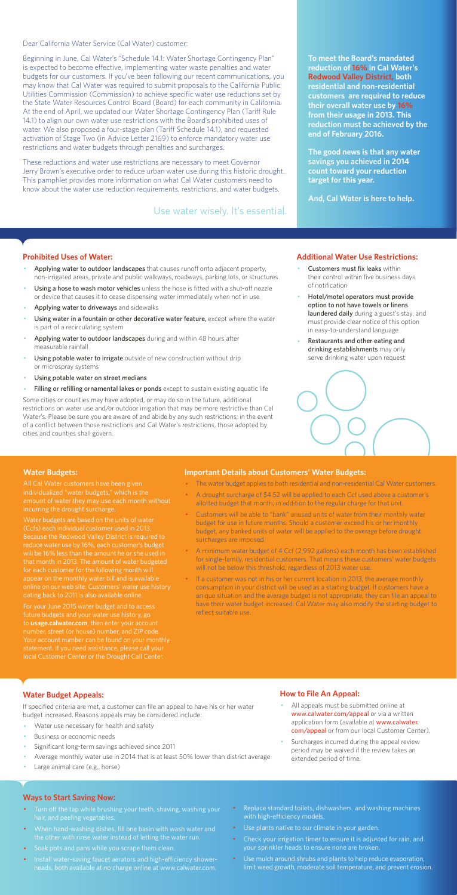Dear California Water Service (Cal Water) customer:

Beginning in June, Cal Water's "Schedule 14.1: Water Shortage Contingency Plan" is expected to become effective, implementing water waste penalties and water budgets for our customers. If you've been following our recent communications, you may know that Cal Water was required to submit proposals to the California Public Utilities Commission (Commission) to achieve specific water use reductions set by the State Water Resources Control Board (Board) for each community in California. At the end of April, we updated our Water Shortage Contingency Plan (Tariff Rule 14.1) to align our own water use restrictions with the Board's prohibited uses of water. We also proposed a four-stage plan (Tariff Schedule 14.1), and requested activation of Stage Two (in Advice Letter 2169) to enforce mandatory water use restrictions and water budgets through penalties and surcharges.

These reductions and water use restrictions are necessary to meet Governor Jerry Brown's executive order to reduce urban water use during this historic drought. This pamphlet provides more information on what Cal Water customers need to know about the water use reduction requirements, restrictions, and water budgets.

#### **Prohibited Uses of Water:**

- Applying water to outdoor landscapes that causes runoff onto adjacent property, non-irrigated areas, private and public walkways, roadways, parking lots, or structures
- Using a hose to wash motor vehicles unless the hose is fitted with a shut-off nozzle or device that causes it to cease dispensing water immediately when not in use
- Applying water to driveways and sidewalks
- Using water in a fountain or other decorative water feature, except where the water is part of a recirculating system
- Applying water to outdoor landscapes during and within 48 hours after measurable rainfall
- Using potable water to irrigate outside of new construction without drip or microspray systems
- Using potable water on street medians
- Filling or refilling ornamental lakes or ponds except to sustain existing aquatic life
- Customers must fix leaks within their control within five business days of notification
- Hotel/motel operators must provide option to not have towels or linens laundered daily during a guest's stay, and must provide clear notice of this option in easy-to-understand language
- Restaurants and other eating and drinking establishments may only serve drinking water upon request



- All appeals must be submitted online at www.calwater.com/appeal or via a written application form (available at www.calwater. com/appeal or from our local Customer Center).
- · Surcharges incurred during the appeal review period may be waived if the review takes an extended period of time.

Some cities or counties may have adopted, or may do so in the future, additional restrictions on water use and/or outdoor irrigation that may be more restrictive than Cal Water's. Please be sure you are aware of and abide by any such restrictions; in the event of a conflict between those restrictions and Cal Water's restrictions, those adopted by cities and counties shall govern.

- Turn off the tap while brushing your teeth, shaving, washing your hair, and peeling vegetables.
- · When hand-washing dishes, fill one basin with wash water and the other with rinse water instead of letting the water run.
- · Soak pots and pans while you scrape them clean.
- · Install water-saving faucet aerators and high-efficiency showerheads, both available at no charge online at www.calwater.com.
- Replace standard toilets, dishwashers, and washing machines with high-efficiency models.
- · Use plants native to our climate in your garden.
- Check your irrigation timer to ensure it is adjusted for rain, and your sprinkler heads to ensure none are broken.
- · Use mulch around shrubs and plants to help reduce evaporation, limit weed growth, moderate soil temperature, and prevent erosion.

**To meet the Board's mandated reduction of 16% in Cal Water's Redwood Valley District, both residential and non-residential customers are required to reduce their overall water use by 16% from their usage in 2013. This reduction must be achieved by the end of February 2016.** 

**The good news is that any water savings you achieved in 2014 count toward your reduction target for this year.** 

**And, Cal Water is here to help.** 

#### **Additional Water Use Restrictions:**

### **Water Budget Appeals:**

If specified criteria are met, a customer can file an appeal to have his or her water budget increased. Reasons appeals may be considered include:

- Water use necessary for health and safety
- Business or economic needs
- Significant long-term savings achieved since 2011
- Average monthly water use in 2014 that is at least 50% lower than district average
- Large animal care (e.g., horse)

If a customer was not in his or her current location in 2013, the average monthly consumption in your district will be used as a starting budget. If customers have a unique situation and the average budget is not appropriate, they can file an appeal to have their water budget increased. Cal Water may also modify the starting budget to reflect suitable use.

## **How to File An Appeal:**

#### **Ways to Start Saving Now:**

Use water wisely. It's essential.

#### **Water Budgets:**

individualized "water budgets," which is the incurring the drought surcharge.

Water budgets are based on the units of water Because the Redwood Valley District is required to reduce water use by 16%, each customer's budget that month in 2013. The amount of water budgeted for each customer for the following month will appear on the monthly water bill and is available dating back to 2011 is also available online.

For your June 2015 water budget and to access future budgets and your water use history, go to **usage.calwater.com**, then enter your account number, street (or house) number, and ZIP code. local Customer Center or the Drought Call Center.

#### **Important Details about Customers' Water Budgets:**

- · The water budget applies to both residential and non-residential Cal Water customers.
- A drought surcharge of \$4.52 will be applied to each Ccf used above a customer's allotted budget that month, in addition to the regular charge for that unit.
- · Customers will be able to "bank" unused units of water from their monthly water budget for use in future months. Should a customer exceed his or her monthly budget, any banked units of water will be applied to the overage before drought surcharges are imposed.
- · A minimum water budget of 4 Ccf (2,992 gallons) each month has been established for single-family, residential customers. That means these customers' water budgets will not be below this threshold, regardless of 2013 water use.